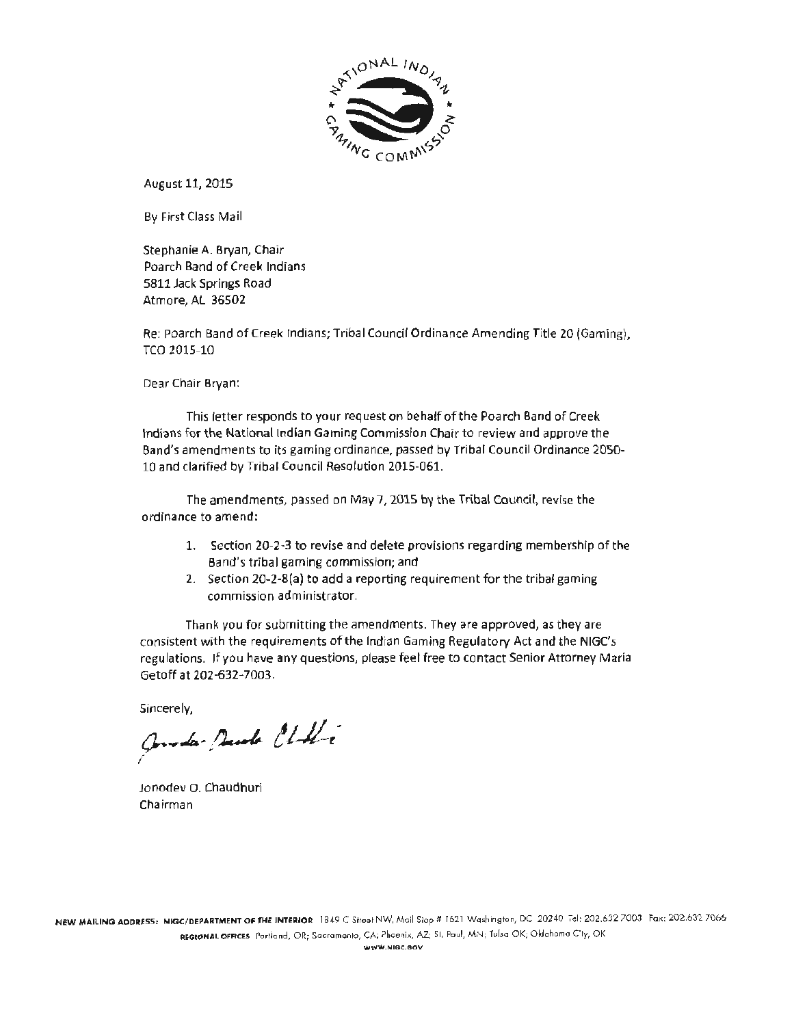

August 11, 2015

By First Class Mail

Stephanie A. Bryan, Chair Poarch Band of Creek Indians 5811 Jack Springs Road Atmore, AL 36502

Re: Poarch Band of Creek Indians; Tribal Council Ordinance Amending Title 20 (Gaming), TCO 2015-10

Dear Chair Bryan:

This letter responds to your request on behalf of the Poarch Band of Creek Indians for the National Indian Gaming Commission Chair to review and approve the Band's amendments to its gaming ordinance, passed by Tribal Council Ordinance 2050-10 and clarified by Tribal Council Resolution 2015-061.

The amendments, passed on May 7, 2015 by the Tribal Council, revise the ordinance to amend:

- 1. Section 20-2·3 to revise and delete provisions regarding membership of the Sand's tribal gaming commission; and
- 2. Section 20-Z-S(a) to add a reporting requirement for the tribal gaming commission administrator.

Thank you for submitting the amendments. They are approved, as they are consistent with the requirements of the Indian Gaming Regulatory Act and the NIGC's regulations. If you have any questions, please feel free to contact Senior Attorney Maria Getoff at 202-632-7003.

Sincerely,

Quester Denote Chilli

Jonodev O. Chaudhuri Chairman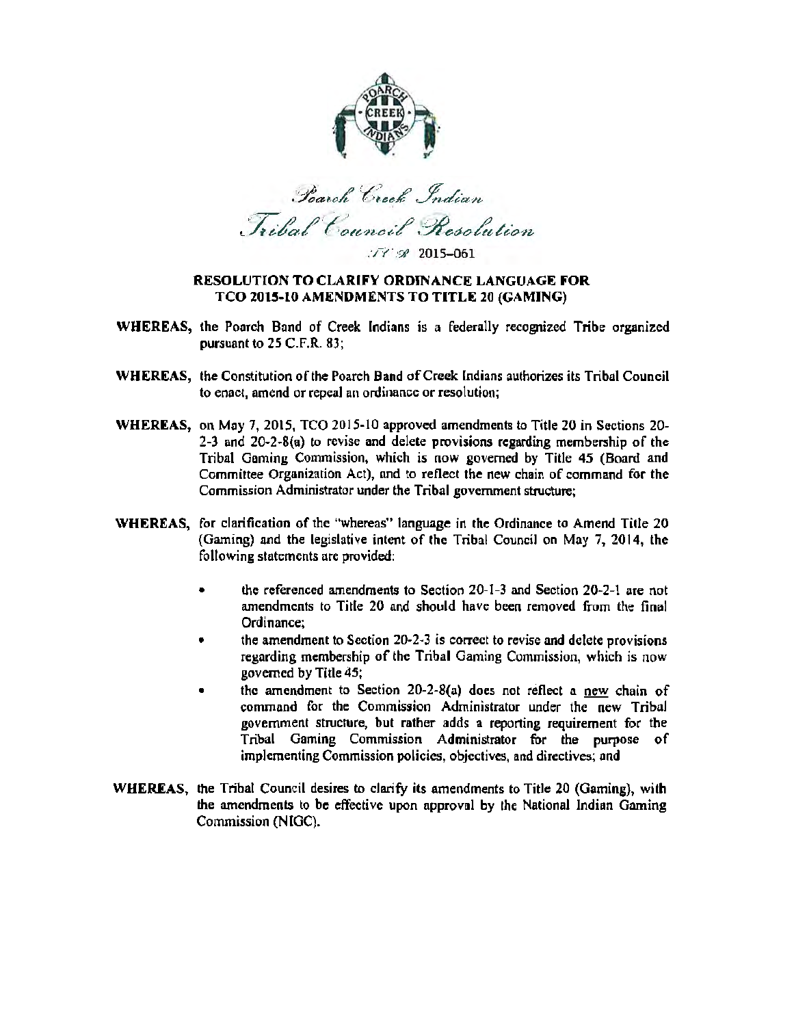

Barch Creek Indian Tribal Council Resolution

 $I'$   $\leq$  2015-061

### RESOLUTION TO CLARIFY ORDINANCE LANGUAGE FOR TCO 2015·10 AMENDMENTS TO TITLE 20 (GAMING)

- WHEREAS, the Poarch Band of Creek [ndians is a federally recognized Tribe organized pursuant to 25 C.F.R. 83;
- WHEREAS, the Constitution of the Poarch Band of Creek lndians authorizes its Tribal Council to enact, amend or repeal an ordinance or resolution;
- WHEREAS, on May 7, 2015, TCO 2015-10 approved amendments to Title 20 in Sections 20- 2-3 and 20·2-S(a) to revise and delete provisions regarding membership of the Tribal Gaming Commission, which is now governed by Title 45 (Board and Committee Organization Act), and to reflect the new chain of command for the Commission Administrator under the Tribal government structure;
- WHEREAS, for clarification of the "whereas" language in the Ordinance to Amend Title 20 (Gaming) and the legislative intent of the Tribal Council on May 7, 2014, the following statements are provided:
	- the referenced amendments to Section 20-1-3 and Section 20-2-1 are not amendments to Title 20 and should have been removed from the final Ordinance;
	- the amendment to Section 20-2·3 is correct to revise and delete provisions regarding membership of the Tribal Gaming Commission, which is now governed by Title 45;
	- the amendment to Section 20-2-S(a) does not reflect a new chain of command for the Commission Administrator under the new TribaJ government structure, but rather adds a reporting requirement for the Tribal Gaming Commission Administrator for the purpose of implementing Commission policies, objectives, and directives; and
- WHEREAS, the Tribal Council desires to clarify its amendments to Title 20 (Gaming), with the amendments to be effective upon approval by the National Indian Gaming Commission (NIGC).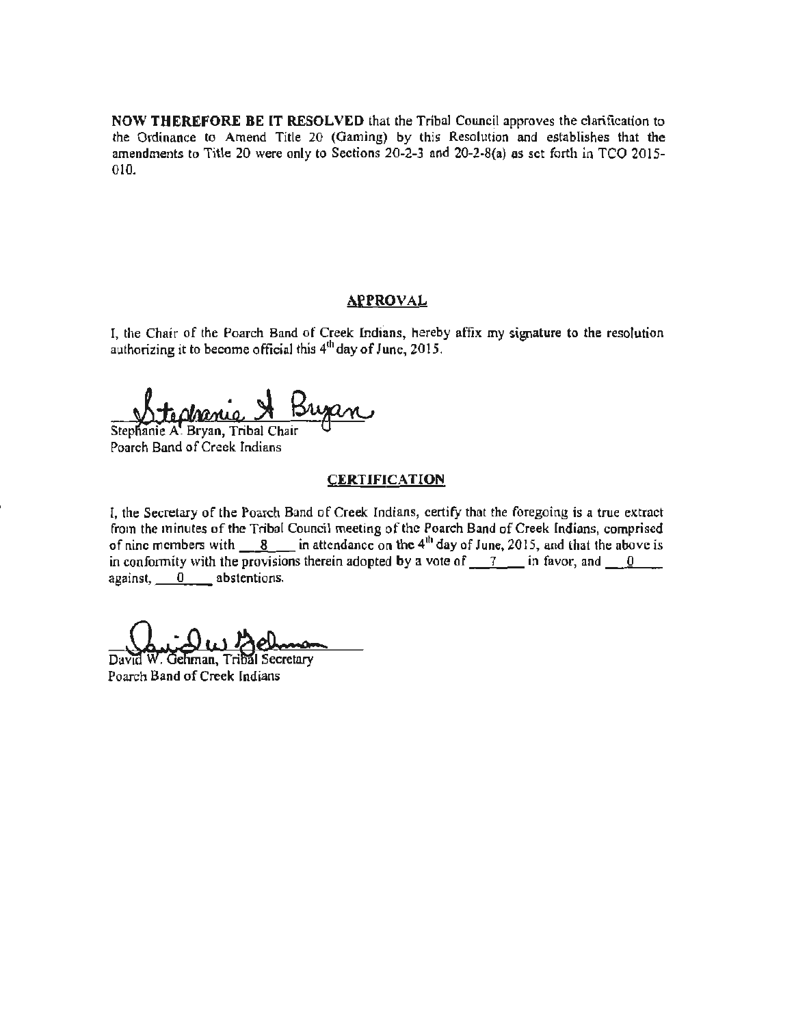NOW THEREFORE BE IT RESOLVED that the Tribal Council approves the clarification to the Ordinance to Amend Title 20 (Gaming) by this Resolution and establishes that the amendments to Title 20 were only to Sections 20-2-3 and 20-2-S(a) as set forth in TCO 2015- 010.

### APPROVAL

I, the Chair of the Poarch Band of Creek Indfans, hereby affix my signature to the resolution authorizing it to become official this 4<sup>th</sup> day of June, 2015.

Stephanie A. Bryan, Tribal Chair<br>Poarch Band of Creek Indians

### **CERTIFICATION**

[, the Secretary of the Poarch Band of Creek Indians, certify that the foregoing is a true extract from the minutes of the Tribal Council meeting of the Poarch Band of Creek Indians, comprised of nine members with  $8$  in attendance on the  $4<sup>th</sup>$  day of June, 2015, and that the above is in conformity with the provisions therein adopted by a vote of  $\frac{7}{10}$  in favor, and  $\frac{0}{10}$ against, 0 abstentions.

Gehman, Tribal Secretary David Poarch Band of Creek Indians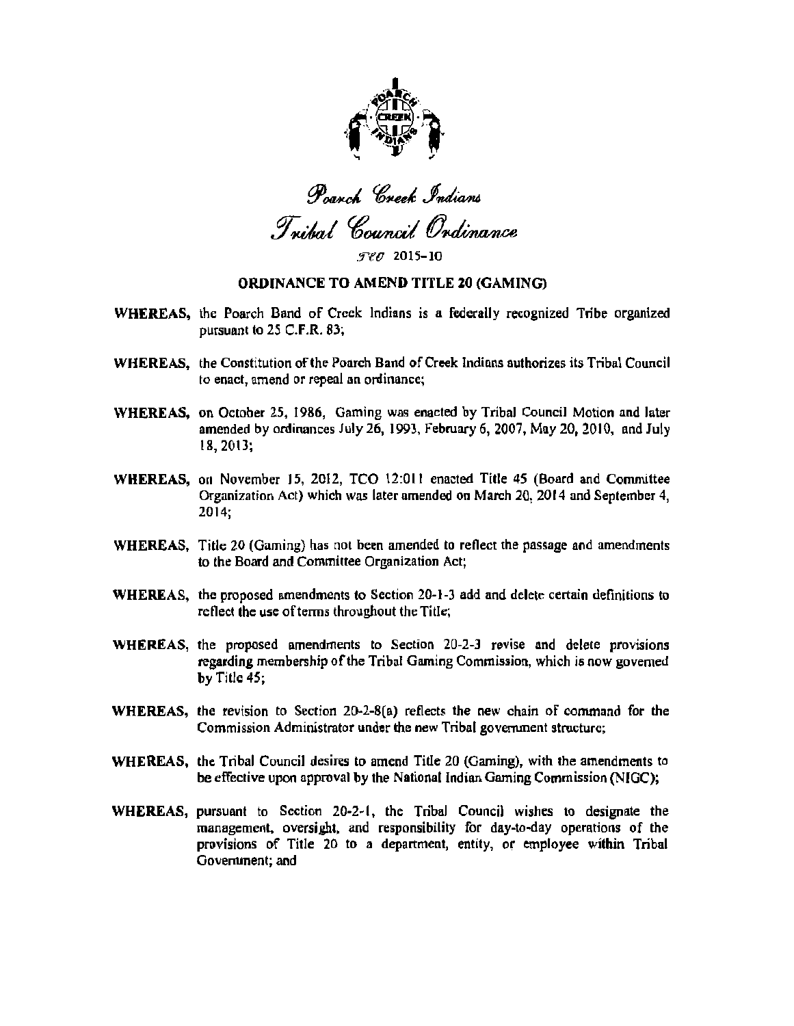

Poarch Creek Indians Tribal Council Ordinance

 $FcC$  2015-10

#### ORDINANCE TO AMEND TITLE 20 (GAMING)

- WHEREAS, the Poarch Band of Creek Indians is a federally recognized Tribe organized pursuant to 25 C.F.R. 83;
- WHEREAS, the Constitution of the Poarch Band of Creek Indians authorizes its Tribal Council to enact, amend or repeal an ordinance;
- WHEREAS, on October 25. 1986, Gaming was enacted by Tribal Council Motion and later amended by ordinances July 26, 1993, February 6, 2007, May 20, 2010, and July 18, 2013;
- WHEREAS, on November 15, 2012, TCO 12:011 enacted Title *45* (Board and Committee Organization Act) which was later amended on March 20, 2014 and September 4, 2014;
- WHEREAS, Title 20 (Gaming) has not been amended to reflect the passage and amendments to the Board and Committee Organization Act;
- WHEREAS, the proposed amendments to Section 20-1-3 add and delete certain definitions to reflect the use of terms throughout the Title;
- WHEREAS, the proposed amendments to Section  $20-2-3$  revise and delete provisions regarding membership of the Tribal Gaming Commission, which is now governed by Title  $45$ :
- WHEREAS, the revision to Section 20-2-S(a) reflects the new chain of command for the Commission Administrator under the new Tribal government structure;
- WHEREAS, the Tribal Council desires to amend Title 20 (Gaming), with the amendments to be effective upon approval by the National Indian Gaming Commission (NIGC);
- WHEREAS, pursuant to Section 20·2-l, the Tribal Council wishes to designate the management, oversight, and responsibility for day-to-day operations of the provisions of Title 20 to a department, entity, or employee within Tribal Government; and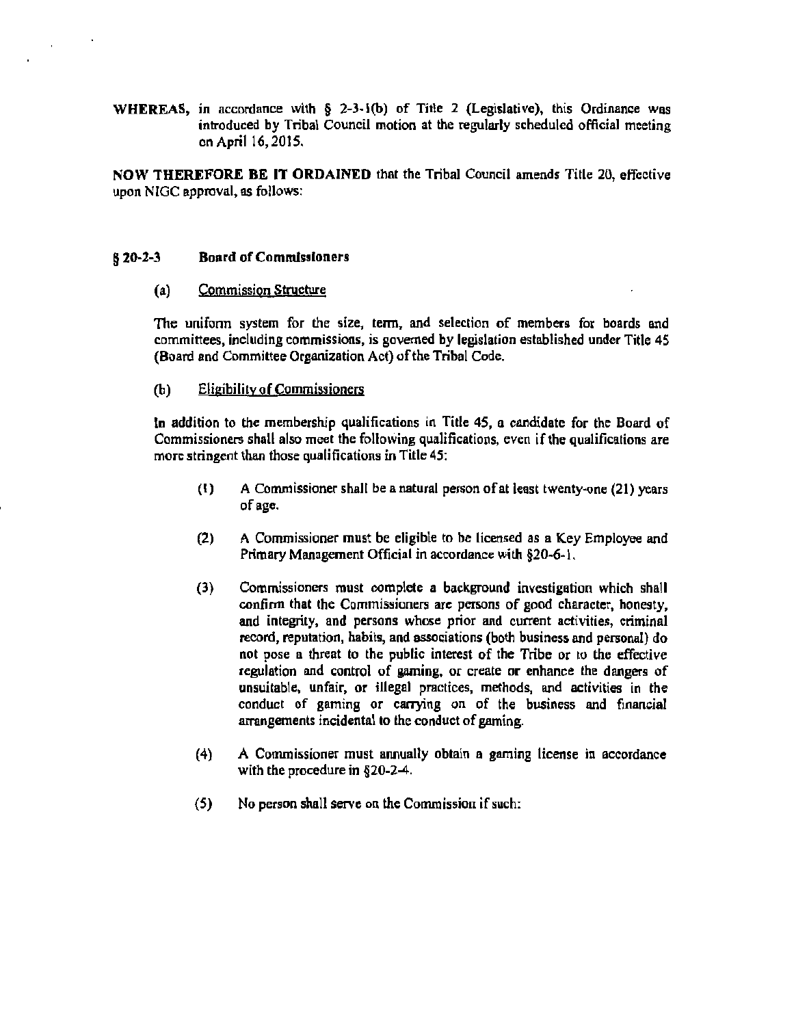WHEREAS, in accordance with  $\S$  2-3-1(b) of Title 2 (Legislative), this Ordinance was introduced by Tribal Council motion at the regularly scheduled official meeting on April 16, 2015.

NOW THEREFORE BE IT ORDAINED that the Tribal Council amends Title 20, effective upon NlGC approval, as follows:

#### § 20-2-3 Board of Commissioners

 $\mathbf{r}$ 

#### (a) Commission Structure

The unifonn system for the size, tenn, and selection of members for boards and committees, including commissions, is governed by legislation established under Title 45 (Board and Committee Organization Act) of the Tribal Code.

### (b) Eligibility of Commissioners

In addition to the membership qualifications in Title 45, a candidate for the Board of Commissioners shall also meet the following qualifications, even if the qualifications are more stringent than those qualifications in Title 45:

- $(1)$  A Commissioner shall be a natural person of at least twenty-one (21) years of age.
- (2) A Commissioner must be eligible to be licensed as a Key Employee and Primary Management Official in accordance with §20·6· l.
- (3) Commissioners must complete a background investigation which shall confirm that the Commissioners are persons of good character, honesty, and integrity, and persons whose prior and current activities, criminal record, reputation, habits, and associations (both business and personal) do not pose a threat to the public interest of the Tribe or to the effective regulation and control of gaming, or create or enhance the dangers of unsuitable, unfair, or illegal practices, methods, and activities in the conduct of gaming or carrying on of the business and financial arrangements incidental to the conduct of gaming.
- (4) A Commissioner must annually obtain a gaming license in accordance with the procedure in §20-2-4.
- (S) No person shall serve on the Commission if such: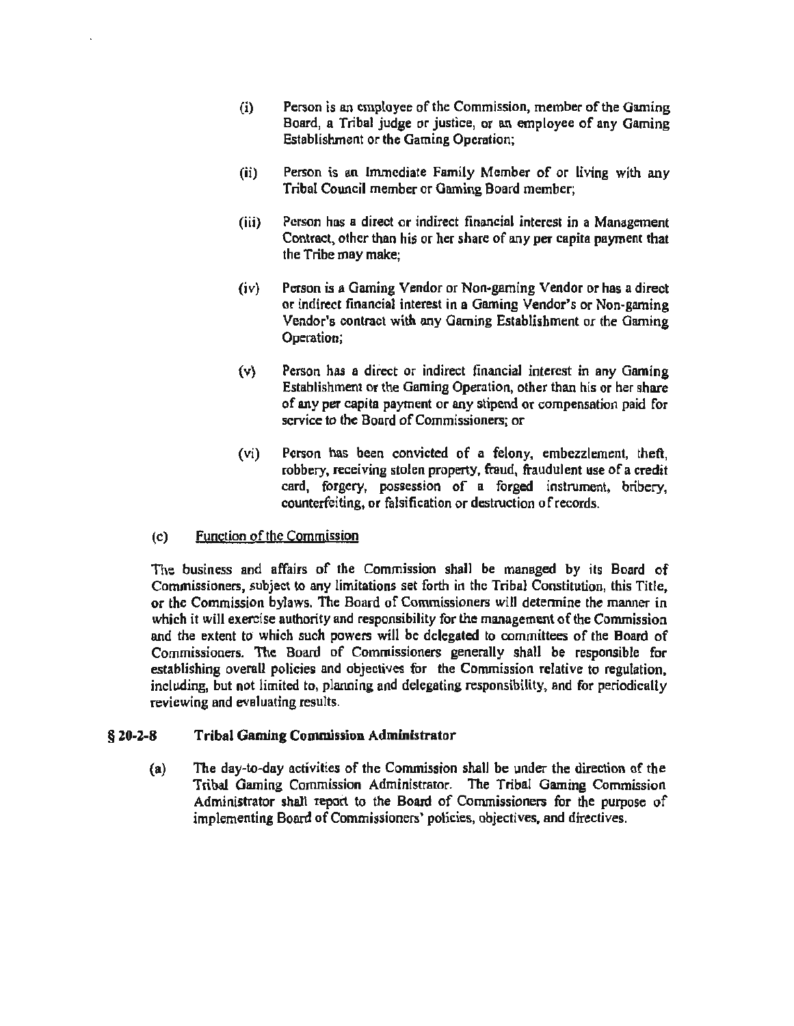- (i) Person is an employee of the Commission, member of the Gaming Board, a Tribal judge or justice, or an employee of any Gaming Establishment or the Gaming Operation;
- (ii) Person is an Immediate Family Member of or living with any Tribal Council member or Gaming Board member;
- (iii) Person has a direct or indirect financial interest in o Management Contract, other than his or her share of any per capita payment that the Tribe may make;
- (iv} Person is a Gaming Vendor or Non·garning Vendor or has a direct or indirect financial interest in a Gaming Vendor's or Non-gaming Vendor's contract with any Gaming Establishment or the Gaming Operation;
- (v) Person has a direct or indirect financial interest in any Gaming Establishment or the Gaming Operation, other than his or her share of any per capita payment or any stipend or compensation paid for service to the Board of Commissioners; or
- (vi) Person has been convicted of a felony, embezzlement, theft, robbery, receiving stolen property, fraud, fraudulent use of a credit card, forgery, possession of a forged instrument, bribery, counterfeiting, or falsification or destruction of records.

## (c) Function of the Commission

The business and affairs of the Commission shall be managed by ils Board of Commissioners, subject to any limitations set forth in the Tribal Constitution, this Title, or the Commission bylaws. The Board of Commissioners will detennine the manner in which it will exercise authority and responsibility for the management of the Commission and the extent to which such powers will be delegated to committees of the Board of Commissioners. The Board of Commissioners generally shall be responsible for establishing overall policies and objectives for the Commission relative to regulation, including, but not limited to, planning and delegating responsibility, and for periodically reviewing and evaluating results.

#### § 20-2-8 Tribal Gaming CommJssion Administrator

(a) The day-to-day activities of the Commission shall be under the direction of the Tribal Gaming Commission Administrator. The Tribal Gaming Commission Administrator shall report to the Board of Commissioners for the purpose of implementing Board of Commissioners' policies, objectives, and directives.